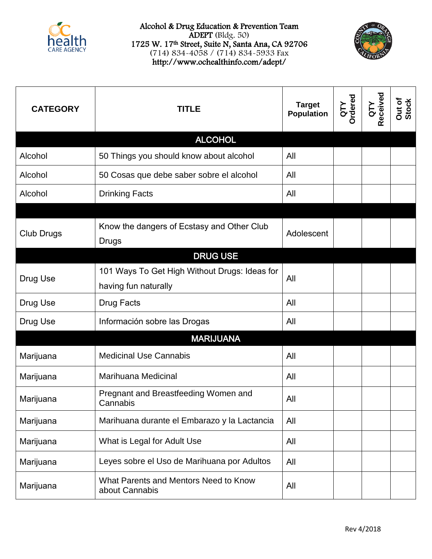

## Alcohol & Drug Education & Prevention Team ADEPT (Bldg. 50) 1725 W. 17th Street, Suite N, Santa Ana, CA 92706 (714) 834-4058 / (714) 834-5933 Fax http://www.ochealthinfo.com/adept/



| <b>CATEGORY</b>   | <b>TITLE</b>                                                          | <b>Target</b><br><b>Population</b> | QTY<br>Ordered | QTY<br>Received | Out of<br>Stock |  |  |  |  |
|-------------------|-----------------------------------------------------------------------|------------------------------------|----------------|-----------------|-----------------|--|--|--|--|
| <b>ALCOHOL</b>    |                                                                       |                                    |                |                 |                 |  |  |  |  |
| Alcohol           | 50 Things you should know about alcohol                               | All                                |                |                 |                 |  |  |  |  |
| Alcohol           | 50 Cosas que debe saber sobre el alcohol                              | All                                |                |                 |                 |  |  |  |  |
| Alcohol           | <b>Drinking Facts</b>                                                 | All                                |                |                 |                 |  |  |  |  |
|                   |                                                                       |                                    |                |                 |                 |  |  |  |  |
| <b>Club Drugs</b> | Know the dangers of Ecstasy and Other Club<br><b>Drugs</b>            | Adolescent                         |                |                 |                 |  |  |  |  |
|                   | <b>DRUG USE</b>                                                       |                                    |                |                 |                 |  |  |  |  |
| Drug Use          | 101 Ways To Get High Without Drugs: Ideas for<br>having fun naturally | All                                |                |                 |                 |  |  |  |  |
| Drug Use          | Drug Facts                                                            | All                                |                |                 |                 |  |  |  |  |
| Drug Use          | Información sobre las Drogas                                          | All                                |                |                 |                 |  |  |  |  |
| <b>MARIJUANA</b>  |                                                                       |                                    |                |                 |                 |  |  |  |  |
| Marijuana         | <b>Medicinal Use Cannabis</b>                                         | All                                |                |                 |                 |  |  |  |  |
| Marijuana         | Marihuana Medicinal                                                   | All                                |                |                 |                 |  |  |  |  |
| Marijuana         | Pregnant and Breastfeeding Women and<br>Cannabis                      | All                                |                |                 |                 |  |  |  |  |
| Marijuana         | Marihuana durante el Embarazo y la Lactancia                          | All                                |                |                 |                 |  |  |  |  |
| Marijuana         | What is Legal for Adult Use                                           | All                                |                |                 |                 |  |  |  |  |
| Marijuana         | Leyes sobre el Uso de Marihuana por Adultos                           | All                                |                |                 |                 |  |  |  |  |
| Marijuana         | What Parents and Mentors Need to Know<br>about Cannabis               | All                                |                |                 |                 |  |  |  |  |